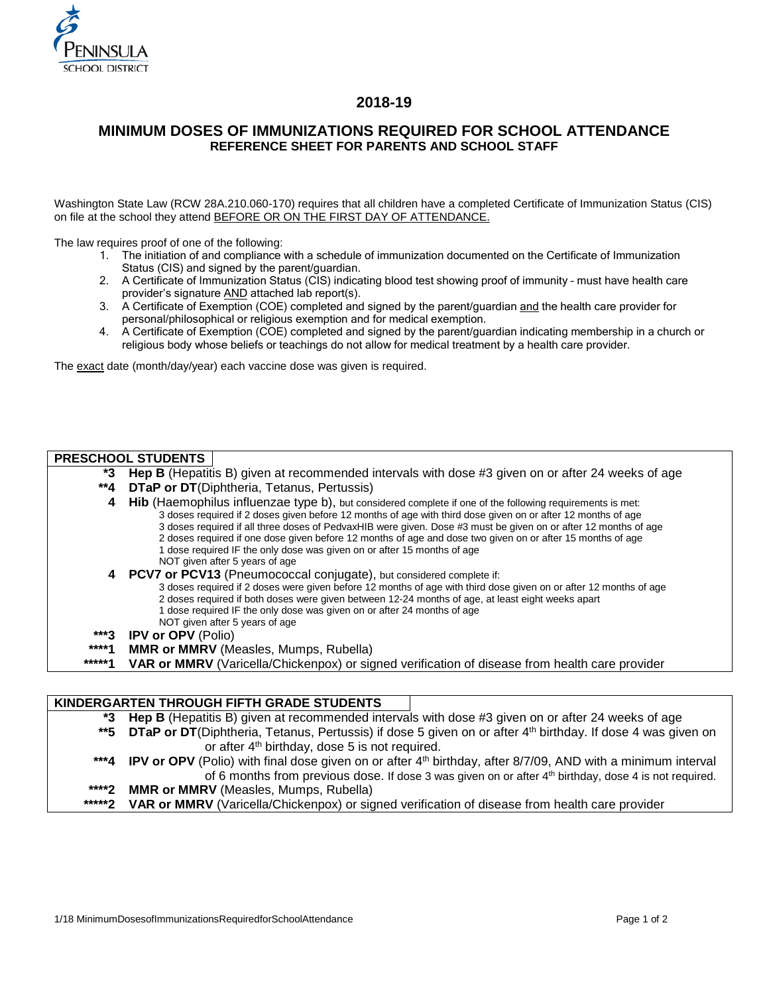

## **2018-19**

# **MINIMUM DOSES OF IMMUNIZATIONS REQUIRED FOR SCHOOL ATTENDANCE REFERENCE SHEET FOR PARENTS AND SCHOOL STAFF**

Washington State Law (RCW 28A.210.060-170) requires that all children have a completed Certificate of Immunization Status (CIS) on file at the school they attend BEFORE OR ON THE FIRST DAY OF ATTENDANCE.

The law requires proof of one of the following:

- 1. The initiation of and compliance with a schedule of immunization documented on the Certificate of Immunization Status (CIS) and signed by the parent/guardian.
- 2. A Certificate of Immunization Status (CIS) indicating blood test showing proof of immunity must have health care provider's signature AND attached lab report(s).
- 3. A Certificate of Exemption (COE) completed and signed by the parent/guardian and the health care provider for personal/philosophical or religious exemption and for medical exemption.
- 4. A Certificate of Exemption (COE) completed and signed by the parent/guardian indicating membership in a church or religious body whose beliefs or teachings do not allow for medical treatment by a health care provider.

The exact date (month/day/year) each vaccine dose was given is required.

## **PRESCHOOL STUDENTS**

- **\*3 Hep B** (Hepatitis B) given at recommended intervals with dose #3 given on or after 24 weeks of age
- **\*\*4 DTaP or DT**(Diphtheria, Tetanus, Pertussis)
	- **4 Hib** (Haemophilus influenzae type b), but considered complete if one of the following requirements is met: 3 doses required if 2 doses given before 12 months of age with third dose given on or after 12 months of age 3 doses required if all three doses of PedvaxHIB were given. Dose #3 must be given on or after 12 months of age 2 doses required if one dose given before 12 months of age and dose two given on or after 15 months of age 1 dose required IF the only dose was given on or after 15 months of age NOT given after 5 years of age
	- **4 PCV7 or PCV13** (Pneumococcal conjugate), but considered complete if:
		- 3 doses required if 2 doses were given before 12 months of age with third dose given on or after 12 months of age 2 doses required if both doses were given between 12-24 months of age, at least eight weeks apart<br>1 dose required IF the only dose was given on or after 24 months of age dose required IF the only dose was given on or after 24 months of age
		- NOT given after 5 years of age
- **\*\*\*3 IPV or OPV** (Polio)
- **\*\*\*\*1 MMR or MMRV** (Measles, Mumps, Rubella)
- **VAR or MMRV** (Varicella/Chickenpox) or signed verification of disease from health care provider

### **KINDERGARTEN THROUGH FIFTH GRADE STUDENTS**

|                 | *3 Hep B (Hepatitis B) given at recommended intervals with dose #3 given on or after 24 weeks of age                          |
|-----------------|-------------------------------------------------------------------------------------------------------------------------------|
|                 | **5 DTaP or DT(Diphtheria, Tetanus, Pertussis) if dose 5 given on or after 4 <sup>th</sup> birthday. If dose 4 was given on   |
|                 | or after 4 <sup>th</sup> birthday, dose 5 is not required.                                                                    |
|                 | ***4 IPV or OPV (Polio) with final dose given on or after 4 <sup>th</sup> birthday, after 8/7/09, AND with a minimum interval |
|                 | of 6 months from previous dose. If dose 3 was given on or after 4th birthday, dose 4 is not required.                         |
| ****2           | <b>MMR or MMRV</b> (Measles, Mumps, Rubella)                                                                                  |
| ****** <b>2</b> | VAR or MMRV (Varicella/Chickenpox) or signed verification of disease from health care provider                                |